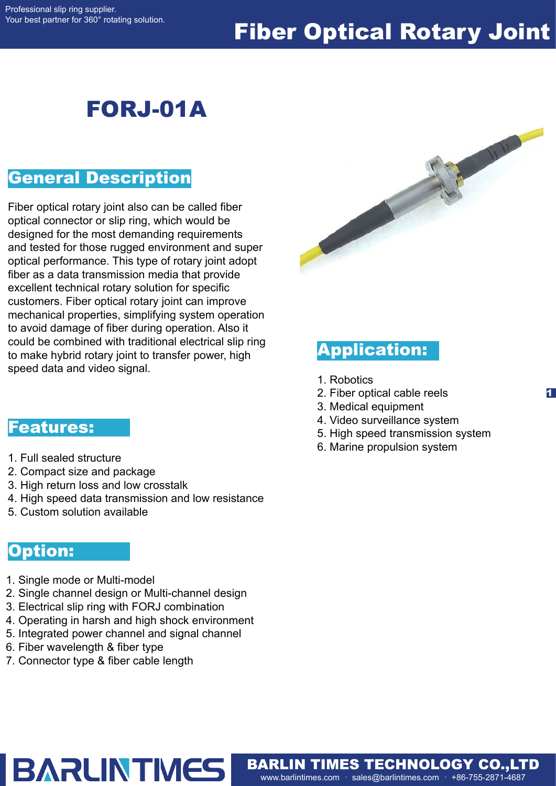### Fiber Optical Rotary Joint

### FORJ-01A

#### General Description

Fiber optical rotary joint also can be called fiber optical connector or slip ring, which would be designed for the most demanding requirements and tested for those rugged environment and super optical performance. This type of rotary joint adopt fiber as a data transmission media that provide excellent technical rotary solution for specific customers. Fiber optical rotary joint can improve mechanical properties, simplifying system operation to avoid damage of fiber during operation. Also it could be combined with traditional electrical slip ring to make hybrid rotary joint to transfer power, high speed data and video signal.



#### Application:

- 1. Robotics
- 2. Fiber optical cable reels
- 3. Medical equipment
- 4. Video surveillance system
- 5. High speed transmission system

1

6. Marine propulsion system

www.barlintimes.com · sales@barlintimes.com · +86-755-2871-4687 BARLIN TIMES TECHNOLOGY CO.,LTD

#### Features:

- 1. Full sealed structure
- 2. Compact size and package
- 3. High return loss and low crosstalk
- 4. High speed data transmission and low resistance
- 5. Custom solution available

#### Option:

- 1. Single mode or Multi-model
- 2. Single channel design or Multi-channel design
- 3. Electrical slip ring with FORJ combination
- 4. Operating in harsh and high shock environment
- 5. Integrated power channel and signal channel
- 6. Fiber wavelength & fiber type
- 7. Connector type & fiber cable length

# **BARLINTMES**